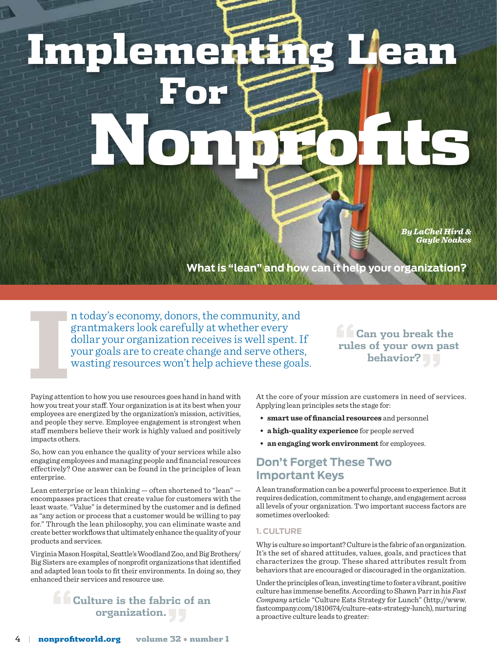# Implementing Lean For Nonprofits

*By LaChel Hird & Gayle Noakes*

**What is "lean" and how can it help your organization?**

n today's economy, donors, the community, and grantmakers look carefully at whether every dollar your organization receives is well spent. If your goals are to create change and serve others, wasting resources won't help achieve these goals.

# **find** Can you break the **rules of your own past behavior?"**

Example 2014<br>Paying attention Paying attention to how you use resources goes hand in hand with how you treat your staff. Your organization is at its best when your employees are energized by the organization's mission, activities, and people they serve. Employee engagement is strongest when staff members believe their work is highly valued and positively impacts others.

So, how can you enhance the quality of your services while also engaging employees and managing people and financial resources effectively? One answer can be found in the principles of lean enterprise.

Lean enterprise or lean thinking — often shortened to "lean" encompasses practices that create value for customers with the least waste. "Value" is determined by the customer and is defined as "any action or process that a customer would be willing to pay for." Through the lean philosophy, you can eliminate waste and create better workflows that ultimately enhance the quality of your products and services.

Virginia Mason Hospital, Seattle's Woodland Zoo, and Big Brothers/ Big Sisters are examples of nonprofit organizations that identified and adapted lean tools to fit their environments. In doing so, they enhanced their services and resource use.

## **"Culture is the fabric of an organization."**

At the core of your mission are customers in need of services. Applying lean principles sets the stage for:

- **smart use offinancial resources** and personnel
- **a high-quality experience** for people served
- **an engaging work environment** for employees.

## **Don't Forget These Two Important Keys**

A lean transformation can be a powerful process to experience. But it requires dedication, commitment to change, and engagement across all levels of your organization. Two important success factors are sometimes overlooked:

#### **1. Culture**

Why is culture so important? Culture is the fabric of an organization. It's the set of shared attitudes, values, goals, and practices that characterizes the group. These shared attributes result from behaviors that are encouraged or discouraged in the organization.

Under the principles of lean, investing time to foster a vibrant, positive culture has immense benefits. According to Shawn Parr in his *Fast Company* article "Culture Eats Strategy for Lunch" (http://www. fastcompany.com/1810674/culture-eats-strategy-lunch), nurturing a proactive culture leads to greater: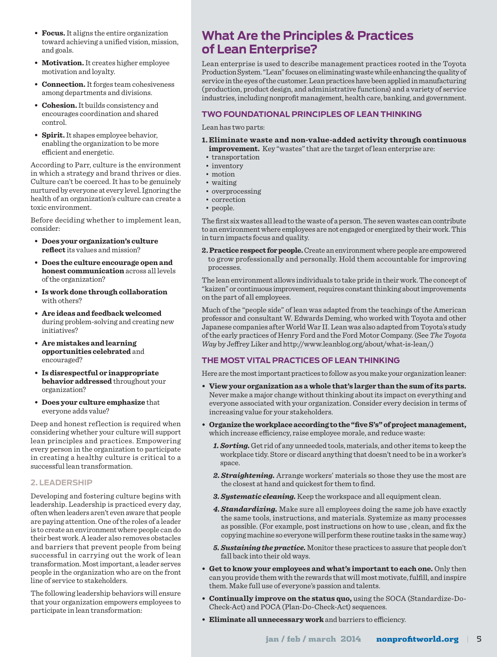- **Focus.** It aligns the entire organization toward achieving a unified vision, mission, and goals.
- **Motivation.** It creates higher employee motivation and loyalty.
- **Connection.** It forges team cohesiveness among departments and divisions.
- **Cohesion.** It builds consistency and encourages coordination and shared control.
- **Spirit.** It shapes employee behavior, enabling the organization to be more efficient and energetic.

According to Parr, culture is the environment in which a strategy and brand thrives or dies. Culture can't be coerced. It has to be genuinely nurtured by everyone at every level. Ignoring the health of an organization's culture can create a toxic environment.

Before deciding whether to implement lean, consider:

- **Does your organization's culture reflect** its values and mission?
- **Does the culture encourage open and honest communication** across all levels of the organization?
- **Is work done through collaboration** with others?
- **Are ideas and feedback welcomed** during problem-solving and creating new initiatives?
- **Are mistakes and learning opportunities celebrated** and encouraged?
- **Is disrespectful or inappropriate behavior addressed** throughout your organization?
- **Does your culture emphasize** that everyone adds value?

Deep and honest reflection is required when considering whether your culture will support lean principles and practices. Empowering every person in the organization to participate in creating a healthy culture is critical to a successful lean transformation.

#### **2. Leadership**

Developing and fostering culture begins with leadership. Leadership is practiced every day, often when leaders aren't even aware that people are paying attention. One of the roles of a leader is to create an environment where people can do their best work. A leader also removes obstacles and barriers that prevent people from being successful in carrying out the work of lean transformation. Most important, a leader serves people in the organization who are on the front line of service to stakeholders.

The following leadership behaviors will ensure that your organization empowers employees to participate in lean transformation:

# **What Are the Principles & Practices of Lean Enterprise?**

Lean enterprise is used to describe management practices rooted in the Toyota Production System. "Lean" focuses on eliminating waste while enhancing the quality of service in the eyes of the customer. Lean practices have been applied in manufacturing (production, product design, and administrative functions) and a variety of service industries, including nonprofit management, health care, banking, and government.

#### **Two Foundational Principles of Lean Thinking**

Lean has two parts:

- **1. Eliminate waste and non-value-added activity through continuous improvement.** Key "wastes" that are the target of lean enterprise are:
- transportation
- inventory
- motion
- waiting
- overprocessing
- correction
- people.

The first six wastes all lead to the waste of a person. The seven wastes can contribute to an environment where employees are not engaged or energized by their work. This in turn impacts focus and quality.

2. Practice respect for people. Create an environment where people are empowered to grow professionally and personally. Hold them accountable for improving processes.

The lean environment allows individuals to take pride in their work. The concept of "kaizen" or continuous improvement, requires constant thinking about improvements on the part of all employees.

Much of the "people side" of lean was adapted from the teachings of the American professor and consultant W. Edwards Deming, who worked with Toyota and other Japanese companies after World War II. Lean was also adapted from Toyota's study of the early practices of Henry Ford and the Ford Motor Company. (See *The Toyota Way* by Jeffrey Liker and http://www.leanblog.org/about/what-is-lean/.)

#### **The Most Vital Practices of Lean Thinking**

Here are the most important practices to follow as you make your organization leaner:

- **View your organization as a whole that's larger than the sum ofits parts.** Never make a major change without thinking about its impact on everything and everyone associated with your organization. Consider every decision in terms of increasing value for your stakeholders.
- **Organize theworkplaceaccording tothe "fiveS's"ofprojectmanagement,** which increase efficiency, raise employee morale, and reduce waste:
	- *1. Sorting.* Get rid of any unneeded tools, materials, and other items to keep the workplace tidy. Store or discard anything that doesn't need to be in a worker's space.
	- *2. Straightening.* Arrange workers' materials so those they use the most are the closest at hand and quickest for them to find.
	- *3. Systematic cleaning.* Keep the workspace and all equipment clean.
	- *4. Standardizing.* Make sure all employees doing the same job have exactly the same tools, instructions, and materials. Systemize as many processes as possible. (For example, post instructions on how to use , clean, and fix the copying machine so everyone will perform these routine tasks in the same way.)
	- *5. Sustaining the practice.* Monitor these practices to assure that people don't fall back into their old ways.
- **Get to know your employees and what's important to each one.** Only then can you provide them with the rewards that will most motivate, fulfill, and inspire them. Make full use of everyone's passion and talents.
- **Continually improve on the status quo,** using the SOCA (Standardize-Do-Check-Act) and POCA (Plan-Do-Check-Act) sequences.
- **Eliminate all unnecessary work** and barriers to efficiency.